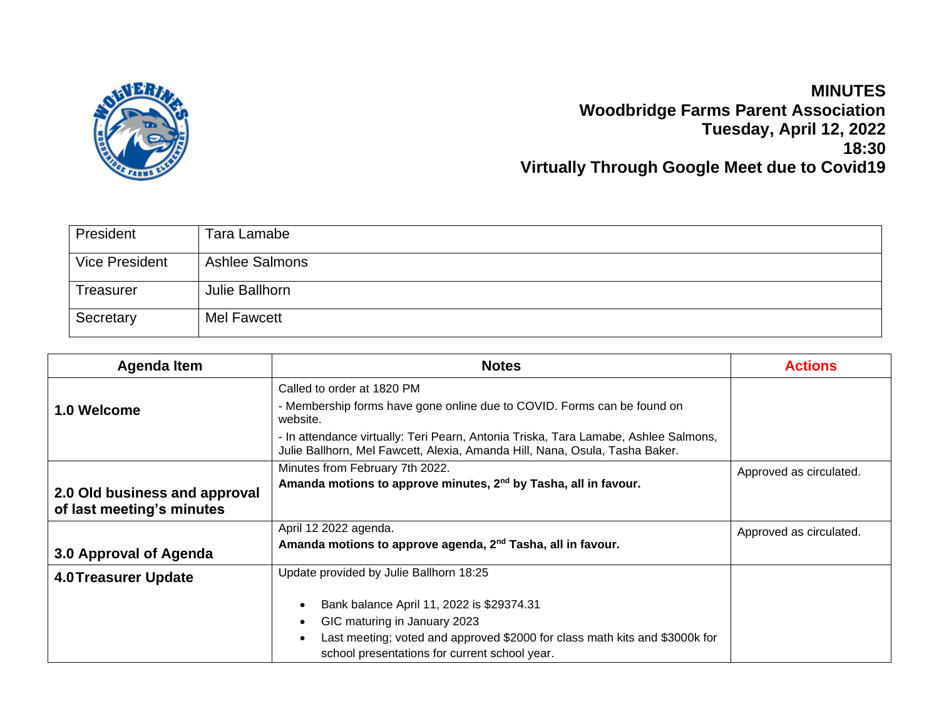

## **MINUTES Woodbridge Farms Parent Association Tuesday, April 12, 2022 18:30 Virtually Through Google Meet due to Covid19**

| President             | Tara Lamabe           |
|-----------------------|-----------------------|
| <b>Vice President</b> | <b>Ashlee Salmons</b> |
| <b>Treasurer</b>      | Julie Ballhorn        |
| Secretary             | Mel Fawcett           |

| <b>Agenda Item</b>            | <b>Notes</b>                                                                                                                                                       | <b>Actions</b>          |
|-------------------------------|--------------------------------------------------------------------------------------------------------------------------------------------------------------------|-------------------------|
|                               | Called to order at 1820 PM                                                                                                                                         |                         |
| 1.0 Welcome                   | - Membership forms have gone online due to COVID. Forms can be found on<br>website.                                                                                |                         |
|                               | - In attendance virtually: Teri Pearn, Antonia Triska, Tara Lamabe, Ashlee Salmons,<br>Julie Ballhorn, Mel Fawcett, Alexia, Amanda Hill, Nana, Osula, Tasha Baker. |                         |
|                               | Minutes from February 7th 2022.                                                                                                                                    | Approved as circulated. |
| 2.0 Old business and approval | Amanda motions to approve minutes, 2 <sup>nd</sup> by Tasha, all in favour.                                                                                        |                         |
| of last meeting's minutes     |                                                                                                                                                                    |                         |
|                               | April 12 2022 agenda.                                                                                                                                              | Approved as circulated. |
| 3.0 Approval of Agenda        | Amanda motions to approve agenda, 2 <sup>nd</sup> Tasha, all in favour.                                                                                            |                         |
| <b>4.0 Treasurer Update</b>   | Update provided by Julie Ballhorn 18:25                                                                                                                            |                         |
|                               | Bank balance April 11, 2022 is \$29374.31                                                                                                                          |                         |
|                               | GIC maturing in January 2023                                                                                                                                       |                         |
|                               | Last meeting; voted and approved \$2000 for class math kits and \$3000k for                                                                                        |                         |
|                               | school presentations for current school year.                                                                                                                      |                         |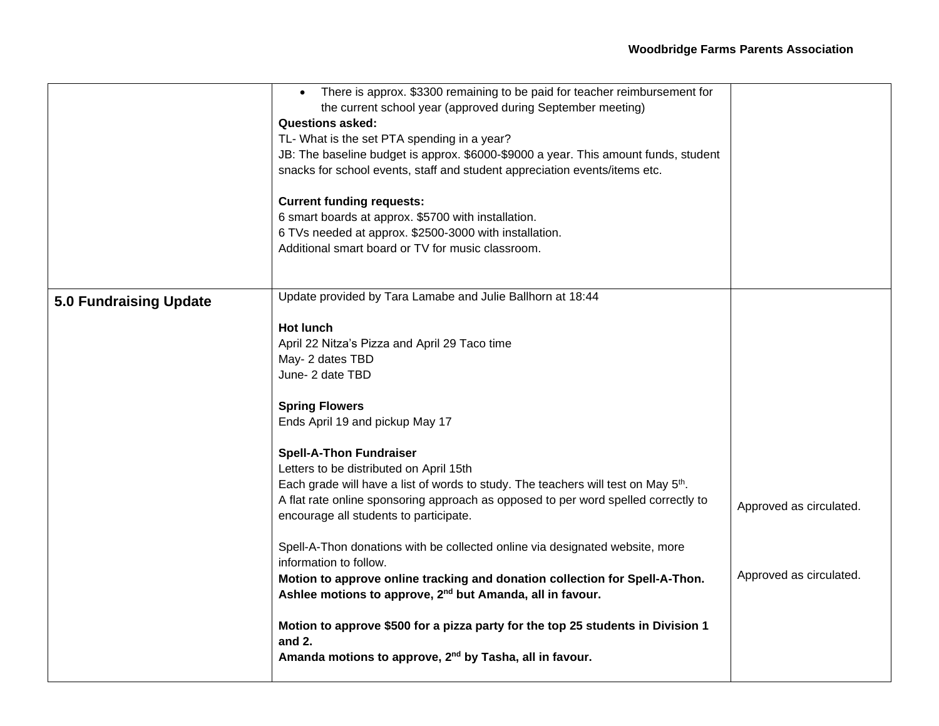|                               | There is approx. \$3300 remaining to be paid for teacher reimbursement for<br>$\bullet$                |                         |
|-------------------------------|--------------------------------------------------------------------------------------------------------|-------------------------|
|                               | the current school year (approved during September meeting)                                            |                         |
|                               | <b>Questions asked:</b>                                                                                |                         |
|                               | TL- What is the set PTA spending in a year?                                                            |                         |
|                               | JB: The baseline budget is approx. \$6000-\$9000 a year. This amount funds, student                    |                         |
|                               | snacks for school events, staff and student appreciation events/items etc.                             |                         |
|                               | <b>Current funding requests:</b>                                                                       |                         |
|                               | 6 smart boards at approx. \$5700 with installation.                                                    |                         |
|                               | 6 TVs needed at approx. \$2500-3000 with installation.                                                 |                         |
|                               | Additional smart board or TV for music classroom.                                                      |                         |
|                               |                                                                                                        |                         |
| <b>5.0 Fundraising Update</b> | Update provided by Tara Lamabe and Julie Ballhorn at 18:44                                             |                         |
|                               |                                                                                                        |                         |
|                               | <b>Hot lunch</b>                                                                                       |                         |
|                               | April 22 Nitza's Pizza and April 29 Taco time                                                          |                         |
|                               | May- 2 dates TBD                                                                                       |                         |
|                               | June- 2 date TBD                                                                                       |                         |
|                               | <b>Spring Flowers</b>                                                                                  |                         |
|                               | Ends April 19 and pickup May 17                                                                        |                         |
|                               | <b>Spell-A-Thon Fundraiser</b>                                                                         |                         |
|                               | Letters to be distributed on April 15th                                                                |                         |
|                               | Each grade will have a list of words to study. The teachers will test on May 5 <sup>th</sup> .         |                         |
|                               | A flat rate online sponsoring approach as opposed to per word spelled correctly to                     |                         |
|                               | encourage all students to participate.                                                                 | Approved as circulated. |
|                               | Spell-A-Thon donations with be collected online via designated website, more<br>information to follow. |                         |
|                               | Motion to approve online tracking and donation collection for Spell-A-Thon.                            | Approved as circulated. |
|                               | Ashlee motions to approve, 2 <sup>nd</sup> but Amanda, all in favour.                                  |                         |
|                               | Motion to approve \$500 for a pizza party for the top 25 students in Division 1<br>and 2.              |                         |
|                               | Amanda motions to approve, 2 <sup>nd</sup> by Tasha, all in favour.                                    |                         |
|                               |                                                                                                        |                         |